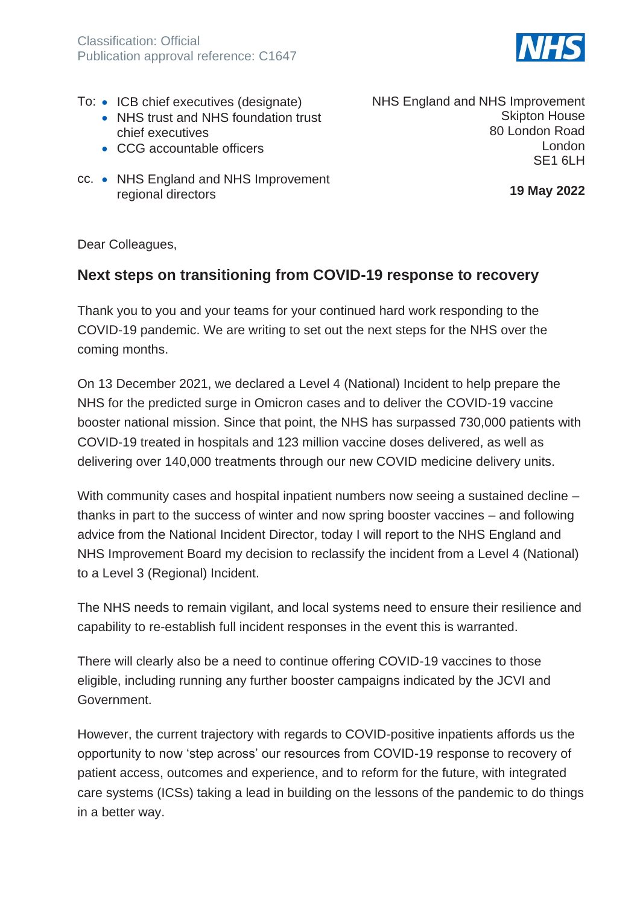

- To: ICB chief executives (designate)
	- NHS trust and NHS foundation trust chief executives
	- CCG accountable officers
- cc. NHS England and NHS Improvement regional directors

NHS England and NHS Improvement Skipton House 80 London Road London SF<sub>1</sub> 6LH

**19 May 2022**

Dear Colleagues,

## **Next steps on transitioning from COVID-19 response to recovery**

Thank you to you and your teams for your continued hard work responding to the COVID-19 pandemic. We are writing to set out the next steps for the NHS over the coming months.

On 13 December 2021, we declared a Level 4 (National) Incident to help prepare the NHS for the predicted surge in Omicron cases and to deliver the COVID-19 vaccine booster national mission. Since that point, the NHS has surpassed 730,000 patients with COVID-19 treated in hospitals and 123 million vaccine doses delivered, as well as delivering over 140,000 treatments through our new COVID medicine delivery units.

With community cases and hospital inpatient numbers now seeing a sustained decline – thanks in part to the success of winter and now spring booster vaccines – and following advice from the National Incident Director, today I will report to the NHS England and NHS Improvement Board my decision to reclassify the incident from a Level 4 (National) to a Level 3 (Regional) Incident.

The NHS needs to remain vigilant, and local systems need to ensure their resilience and capability to re-establish full incident responses in the event this is warranted.

There will clearly also be a need to continue offering COVID-19 vaccines to those eligible, including running any further booster campaigns indicated by the JCVI and Government.

However, the current trajectory with regards to COVID-positive inpatients affords us the opportunity to now 'step across' our resources from COVID-19 response to recovery of patient access, outcomes and experience, and to reform for the future, with integrated care systems (ICSs) taking a lead in building on the lessons of the pandemic to do things in a better way.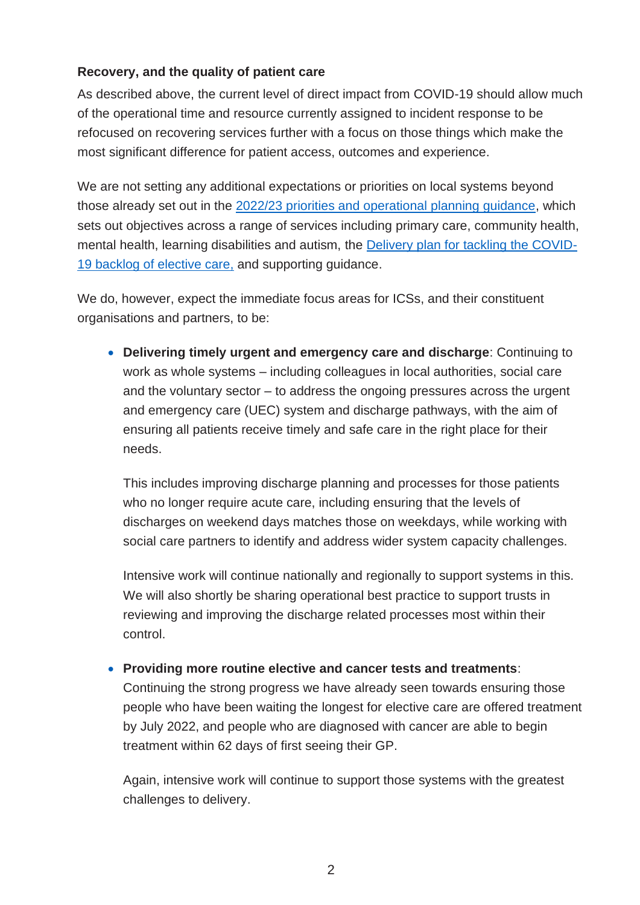## **Recovery, and the quality of patient care**

As described above, the current level of direct impact from COVID-19 should allow much of the operational time and resource currently assigned to incident response to be refocused on recovering services further with a focus on those things which make the most significant difference for patient access, outcomes and experience.

We are not setting any additional expectations or priorities on local systems beyond those already set out in the [2022/23 priorities and operational planning guidance,](https://www.england.nhs.uk/wp-content/uploads/2022/02/20211223-B1160-2022-23-priorities-and-operational-planning-guidance-v3.2.pdf) which sets out objectives across a range of services including primary care, community health, mental health, learning disabilities and autism, the [Delivery plan for tackling the COVID-](https://www.england.nhs.uk/coronavirus/publication/delivery-plan-for-tackling-the-covid-19-backlog-of-elective-care/)[19 backlog of elective care,](https://www.england.nhs.uk/coronavirus/publication/delivery-plan-for-tackling-the-covid-19-backlog-of-elective-care/) and supporting guidance.

We do, however, expect the immediate focus areas for ICSs, and their constituent organisations and partners, to be:

• **Delivering timely urgent and emergency care and discharge**: Continuing to work as whole systems – including colleagues in local authorities, social care and the voluntary sector – to address the ongoing pressures across the urgent and emergency care (UEC) system and discharge pathways, with the aim of ensuring all patients receive timely and safe care in the right place for their needs.

This includes improving discharge planning and processes for those patients who no longer require acute care, including ensuring that the levels of discharges on weekend days matches those on weekdays, while working with social care partners to identify and address wider system capacity challenges.

Intensive work will continue nationally and regionally to support systems in this. We will also shortly be sharing operational best practice to support trusts in reviewing and improving the discharge related processes most within their control.

## • **Providing more routine elective and cancer tests and treatments**:

Continuing the strong progress we have already seen towards ensuring those people who have been waiting the longest for elective care are offered treatment by July 2022, and people who are diagnosed with cancer are able to begin treatment within 62 days of first seeing their GP.

Again, intensive work will continue to support those systems with the greatest challenges to delivery.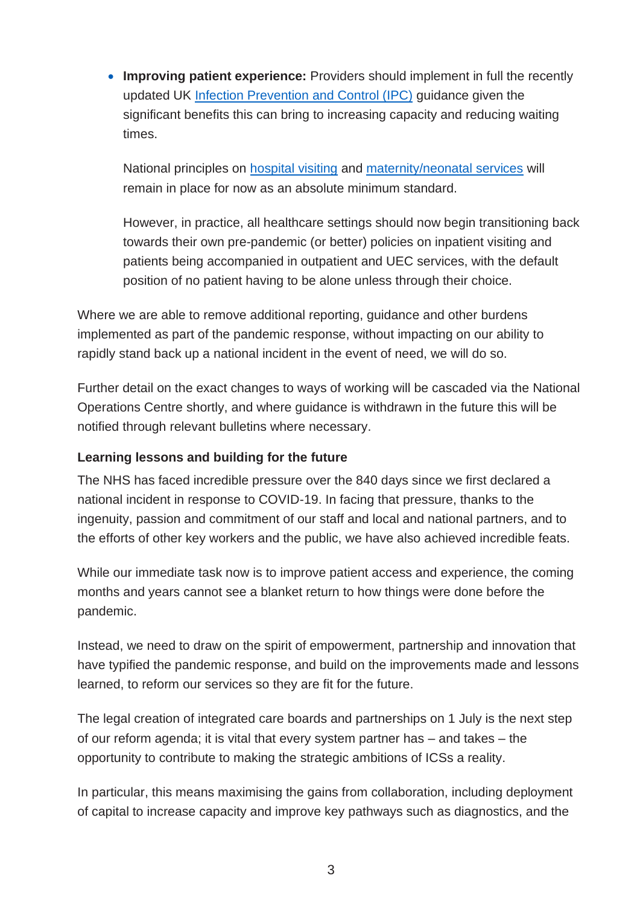• **Improving patient experience:** Providers should implement in full the recently updated UK [Infection Prevention and Control \(IPC\)](https://www.gov.uk/government/publications/wuhan-novel-coronavirus-infection-prevention-and-control/covid-19-guidance-for-maintaining-services-within-health-and-care-settings-infection-prevention-and-control-recommendations) guidance given the significant benefits this can bring to increasing capacity and reducing waiting times.

National principles on [hospital visiting](https://www.england.nhs.uk/coronavirus/publication/visitor-guidance/) and [maternity/neonatal services](https://www.england.nhs.uk/coronavirus/publication/supporting-pregnant-women-using-maternity-services-and-access-for-parents-of-babies-in-neonatal-units/) will remain in place for now as an absolute minimum standard.

However, in practice, all healthcare settings should now begin transitioning back towards their own pre-pandemic (or better) policies on inpatient visiting and patients being accompanied in outpatient and UEC services, with the default position of no patient having to be alone unless through their choice.

Where we are able to remove additional reporting, guidance and other burdens implemented as part of the pandemic response, without impacting on our ability to rapidly stand back up a national incident in the event of need, we will do so.

Further detail on the exact changes to ways of working will be cascaded via the National Operations Centre shortly, and where guidance is withdrawn in the future this will be notified through relevant bulletins where necessary.

## **Learning lessons and building for the future**

The NHS has faced incredible pressure over the 840 days since we first declared a national incident in response to COVID-19. In facing that pressure, thanks to the ingenuity, passion and commitment of our staff and local and national partners, and to the efforts of other key workers and the public, we have also achieved incredible feats.

While our immediate task now is to improve patient access and experience, the coming months and years cannot see a blanket return to how things were done before the pandemic.

Instead, we need to draw on the spirit of empowerment, partnership and innovation that have typified the pandemic response, and build on the improvements made and lessons learned, to reform our services so they are fit for the future.

The legal creation of integrated care boards and partnerships on 1 July is the next step of our reform agenda; it is vital that every system partner has – and takes – the opportunity to contribute to making the strategic ambitions of ICSs a reality.

In particular, this means maximising the gains from collaboration, including deployment of capital to increase capacity and improve key pathways such as diagnostics, and the